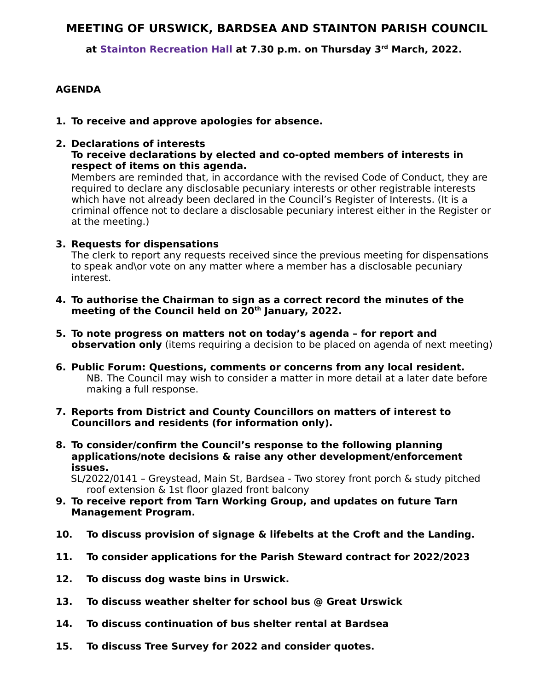## **MEETING OF URSWICK, BARDSEA AND STAINTON PARISH COUNCIL**

 **at Stainton Recreation Hall at 7.30 p.m. on Thursday 3rd March, 2022.**

## **AGENDA**

- **1. To receive and approve apologies for absence.**
- **2. Declarations of interests To receive declarations by elected and co-opted members of interests in respect of items on this agenda.**

Members are reminded that, in accordance with the revised Code of Conduct, they are required to declare any disclosable pecuniary interests or other registrable interests which have not already been declared in the Council's Register of Interests. (It is a criminal offence not to declare a disclosable pecuniary interest either in the Register or at the meeting.)

## **3. Requests for dispensations**

The clerk to report any requests received since the previous meeting for dispensations to speak and\or vote on any matter where a member has a disclosable pecuniary interest.

- **4. To authorise the Chairman to sign as a correct record the minutes of the meeting of the Council held on 20th January, 2022.**
- **5. To note progress on matters not on today's agenda for report and observation only** (items requiring a decision to be placed on agenda of next meeting)
- **6. Public Forum: Questions, comments or concerns from any local resident.** NB. The Council may wish to consider a matter in more detail at a later date before making a full response.
- **7. Reports from District and County Councillors on matters of interest to Councillors and residents (for information only).**
- **8. To consider/confirm the Council's response to the following planning applications/note decisions & raise any other development/enforcement issues.**

 SL/2022/0141 – Greystead, Main St, Bardsea - Two storey front porch & study pitched roof extension & 1st floor glazed front balcony

- **9. To receive report from Tarn Working Group, and updates on future Tarn Management Program.**
- **10. To discuss provision of signage & lifebelts at the Croft and the Landing.**
- **11. To consider applications for the Parish Steward contract for 2022/2023**
- **12. To discuss dog waste bins in Urswick.**
- **13. To discuss weather shelter for school bus @ Great Urswick**
- **14. To discuss continuation of bus shelter rental at Bardsea**
- **15. To discuss Tree Survey for 2022 and consider quotes.**